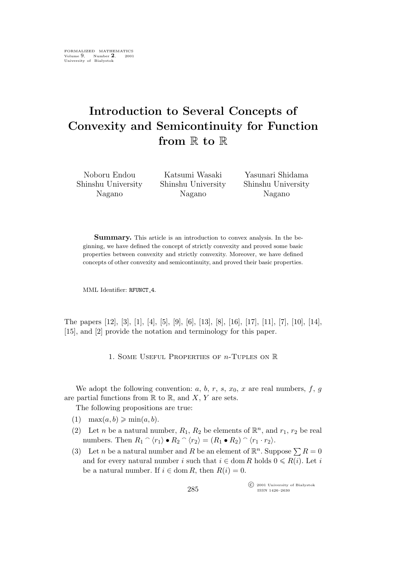## **Introduction to Several Concepts of Convexity and Semicontinuity for Function from** R **to** R

Noboru Endou Shinshu University Nagano

Katsumi Wasaki Shinshu University Nagano

Yasunari Shidama Shinshu University Nagano

**Summary.** This article is an introduction to convex analysis. In the beginning, we have defined the concept of strictly convexity and proved some basic properties between convexity and strictly convexity. Moreover, we have defined concepts of other convexity and semicontinuity, and proved their basic properties.

MML Identifier: RFUNCT<sub>-4</sub>.

The papers [12], [3], [1], [4], [5], [9], [6], [13], [8], [16], [17], [11], [7], [10], [14], [15], and [2] provide the notation and terminology for this paper.

1. Some Useful Properties of n-Tuples on R

We adopt the following convention:  $a, b, r, s, x_0, x$  are real numbers,  $f, g$ are partial functions from  $\mathbb R$  to  $\mathbb R$ , and  $X, Y$  are sets.

The following propositions are true:

- (1)  $\max(a,b) \geqslant \min(a,b)$ .
- (2) Let *n* be a natural number,  $R_1$ ,  $R_2$  be elements of  $\mathbb{R}^n$ , and  $r_1$ ,  $r_2$  be real numbers. Then  $R_1 \cap \langle r_1 \rangle \bullet R_2 \cap \langle r_2 \rangle = (R_1 \bullet R_2) \cap \langle r_1 \cdot r_2 \rangle$ .
- (3) Let *n* be a natural number and *R* be an element of  $\mathbb{R}^n$ . Suppose  $\sum R = 0$ and for every natural number i such that  $i \in \text{dom } R$  holds  $0 \le R(i)$ . Let i be a natural number. If  $i \in \text{dom } R$ , then  $R(i) = 0$ .

°c 2001 University of Białystok ISSN 1426–2630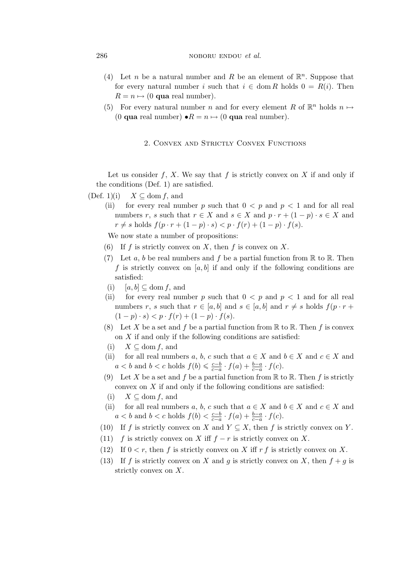## 286 **noboru endou** *et al.* **noboru endou** *et al.*

- (4) Let *n* be a natural number and *R* be an element of  $\mathbb{R}^n$ . Suppose that for every natural number i such that  $i \in \text{dom } R$  holds  $0 = R(i)$ . Then  $R = n \mapsto (0$  **qua** real number).
- (5) For every natural number *n* and for every element R of  $\mathbb{R}^n$  holds  $n \mapsto$ (0 **qua** real number)  $\bullet R = n \mapsto (0 \text{ qua real number}).$

## 2. Convex and Strictly Convex Functions

Let us consider f, X. We say that f is strictly convex on X if and only if the conditions (Def. 1) are satisfied.

(Def. 1)(i)  $X \subseteq \text{dom } f$ , and

(ii) for every real number p such that  $0 < p$  and  $p < 1$  and for all real numbers r, s such that  $r \in X$  and  $s \in X$  and  $p \cdot r + (1 - p) \cdot s \in X$  and  $r \neq s$  holds  $f(p \cdot r + (1 - p) \cdot s) < p \cdot f(r) + (1 - p) \cdot f(s)$ .

We now state a number of propositions:

- (6) If f is strictly convex on X, then f is convex on X.
- (7) Let a, b be real numbers and f be a partial function from  $\mathbb R$  to  $\mathbb R$ . Then f is strictly convex on  $[a,b]$  if and only if the following conditions are satisfied:
- (i)  $[a,b] \subseteq \text{dom } f$ , and
- (ii) for every real number p such that  $0 < p$  and  $p < 1$  and for all real numbers r, s such that  $r \in [a, b]$  and  $s \in [a, b]$  and  $r \neq s$  holds  $f(p \cdot r +$  $(1-p) \cdot s$   $\lt p \cdot f(r) + (1-p) \cdot f(s)$ .
- (8) Let X be a set and f be a partial function from  $\mathbb R$  to  $\mathbb R$ . Then f is convex on  $X$  if and only if the following conditions are satisfied:
- (i)  $X \subseteq \text{dom } f$ , and
- (ii) for all real numbers a, b, c such that  $a \in X$  and  $b \in X$  and  $c \in X$  and  $a < b$  and  $b < c$  holds  $f(b) \leqslant \frac{c-b}{c-a}$  $\frac{c-b}{c-a} \cdot f(a) + \frac{b-a}{c-a} \cdot f(c).$
- (9) Let X be a set and f be a partial function from  $\mathbb R$  to  $\mathbb R$ . Then f is strictly convex on  $X$  if and only if the following conditions are satisfied:
- (i)  $X \subseteq \text{dom } f$ , and
- (ii) for all real numbers a, b, c such that  $a \in X$  and  $b \in X$  and  $c \in X$  and  $a < b$  and  $b < c$  holds  $f(b) < \frac{c-b}{c-a}$  $\frac{c-b}{c-a} \cdot f(a) + \frac{b-a}{c-a} \cdot f(c).$
- (10) If f is strictly convex on X and  $Y \subseteq X$ , then f is strictly convex on Y.
- (11) f is strictly convex on X iff  $f r$  is strictly convex on X.
- (12) If  $0 < r$ , then f is strictly convex on X iff r f is strictly convex on X.
- (13) If f is strictly convex on X and g is strictly convex on X, then  $f + g$  is strictly convex on X.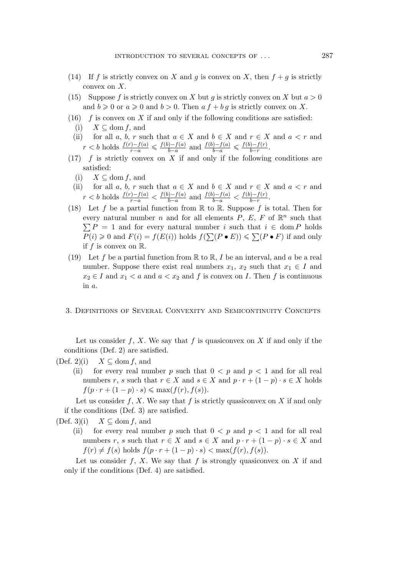- (14) If f is strictly convex on X and g is convex on X, then  $f + g$  is strictly convex on X.
- (15) Suppose f is strictly convex on X but g is strictly convex on X but  $a > 0$ and  $b \ge 0$  or  $a \ge 0$  and  $b > 0$ . Then  $af + bg$  is strictly convex on X.
- (16)  $f$  is convex on X if and only if the following conditions are satisfied:
	- (i)  $X \subseteq \text{dom } f$ , and
- (ii) for all a, b, r such that  $a \in X$  and  $b \in X$  and  $r \in X$  and  $a < r$  and *r* < *b* holds  $\frac{f(r)-f(a)}{r-a}$  ≤  $\frac{f(b)-f(a)}{b-a}$ *b*<sup>−</sup>a</sub> and  $\frac{f(b)-f(a)}{b-a}$  ≤  $\frac{f(b)-f(r)}{b-r}$  $\frac{f(-f(T))}{b-r}$
- $(17)$  f is strictly convex on X if and only if the following conditions are satisfied:
	- (i)  $X \subseteq$  dom *f*, and
	- (ii) for all a, b, r such that  $a \in X$  and  $b \in X$  and  $r \in X$  and  $a < r$  and *r* < *b* holds  $\frac{f(r)-f(a)}{r-a} < \frac{f(b)-f(a)}{b-a}$ *b*<sup>−</sup>*f*(*a*) and  $\frac{f(b)-f(a)}{b-a} < \frac{f(b)-f(r)}{b-r}$ <sup>*j*−*J*(r)</sup><sub>*b*−r</sub>.
- (18) Let f be a partial function from  $\mathbb R$  to  $\mathbb R$ . Suppose f is total. Then for every natural number *n* and for all elements  $P$ ,  $E$ ,  $F$  of  $\mathbb{R}^n$  such that  $\sum P = 1$  and for every natural number i such that  $i \in \text{dom } P$  holds  $P(i) \geq 0$  and  $F(i) = f(E(i))$  holds  $f(\sum (P \cdot E)) \leq \sum (P \cdot F)$  if and only if f is convex on  $\mathbb{R}$ .
- (19) Let f be a partial function from  $\mathbb R$  to  $\mathbb R$ , I be an interval, and a be a real number. Suppose there exist real numbers  $x_1, x_2$  such that  $x_1 \in I$  and  $x_2 \in I$  and  $x_1 < a$  and  $a < x_2$  and f is convex on I. Then f is continuous in a.
- 3. Definitions of Several Convexity and Semicontinuity Concepts

Let us consider f, X. We say that f is quasiconvex on X if and only if the conditions (Def. 2) are satisfied.

- (Def. 2)(i)  $X \subseteq \text{dom } f$ , and
	- (ii) for every real number p such that  $0 < p$  and  $p < 1$  and for all real numbers r, s such that  $r \in X$  and  $s \in X$  and  $p \cdot r + (1 - p) \cdot s \in X$  holds  $f(p \cdot r + (1 - p) \cdot s) \leqslant \max(f(r), f(s)).$

Let us consider f, X. We say that f is strictly quasiconvex on X if and only if the conditions (Def. 3) are satisfied.

(Def. 3)(i)  $X \subseteq \text{dom } f$ , and

(ii) for every real number p such that  $0 < p$  and  $p < 1$  and for all real numbers r, s such that  $r \in X$  and  $s \in X$  and  $p \cdot r + (1 - p) \cdot s \in X$  and  $f(r) \neq f(s)$  holds  $f(p \cdot r + (1 - p) \cdot s) < \max(f(r), f(s)).$ 

Let us consider  $f, X$ . We say that  $f$  is strongly quasiconvex on  $X$  if and only if the conditions (Def. 4) are satisfied.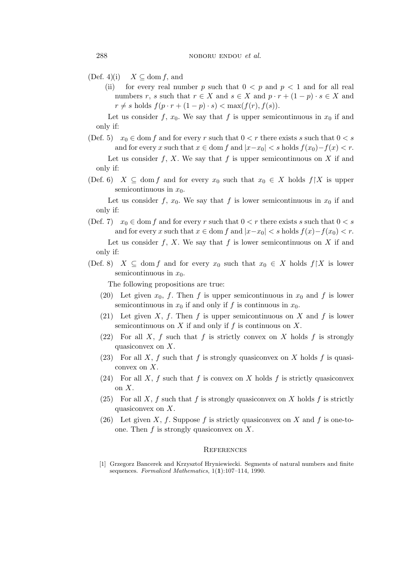$(Def. 4)(i)$   $X \subseteq \text{dom } f$ , and

(ii) for every real number p such that  $0 < p$  and  $p < 1$  and for all real numbers r, s such that  $r \in X$  and  $s \in X$  and  $p \cdot r + (1 - p) \cdot s \in X$  and  $r \neq s$  holds  $f(p \cdot r + (1 - p) \cdot s) < \max(f(r), f(s)).$ 

Let us consider f,  $x_0$ . We say that f is upper semicontinuous in  $x_0$  if and only if:

(Def. 5)  $x_0 \in \text{dom } f$  and for every r such that  $0 < r$  there exists s such that  $0 < s$ and for every x such that  $x \in \text{dom } f$  and  $|x-x_0| < s$  holds  $f(x_0) - f(x) < r$ .

Let us consider f, X. We say that f is upper semicontinuous on X if and only if:

(Def. 6)  $X \subseteq \text{dom } f$  and for every  $x_0$  such that  $x_0 \in X$  holds  $f \upharpoonright X$  is upper semicontinuous in  $x_0$ .

Let us consider f,  $x_0$ . We say that f is lower semicontinuous in  $x_0$  if and only if:

(Def. 7)  $x_0 \in \text{dom } f$  and for every r such that  $0 < r$  there exists s such that  $0 < s$ and for every x such that  $x \in \text{dom } f$  and  $|x-x_0| < s$  holds  $f(x)-f(x_0) < r$ .

Let us consider  $f, X$ . We say that  $f$  is lower semicontinuous on  $X$  if and only if:

(Def. 8)  $X \subseteq \text{dom } f$  and for every  $x_0$  such that  $x_0 \in X$  holds  $f \upharpoonright X$  is lower semicontinuous in  $x_0$ .

The following propositions are true:

- (20) Let given  $x_0$ , f. Then f is upper semicontinuous in  $x_0$  and f is lower semicontinuous in  $x_0$  if and only if f is continuous in  $x_0$ .
- (21) Let given X, f. Then f is upper semicontinuous on X and f is lower semicontinuous on  $X$  if and only if  $f$  is continuous on  $X$ .
- (22) For all X, f such that f is strictly convex on X holds f is strongly quasiconvex on X.
- (23) For all X, f such that f is strongly quasiconvex on X holds f is quasiconvex on X.
- (24) For all X, f such that f is convex on X holds f is strictly quasiconvex on X.
- (25) For all X, f such that f is strongly quasiconvex on X holds f is strictly quasiconvex on X.
- (26) Let given X, f. Suppose f is strictly quasiconvex on X and f is one-toone. Then  $f$  is strongly quasiconvex on  $X$ .

## **REFERENCES**

[1] Grzegorz Bancerek and Krzysztof Hryniewiecki. Segments of natural numbers and finite sequences. *Formalized Mathematics*, 1(**1**):107–114, 1990.